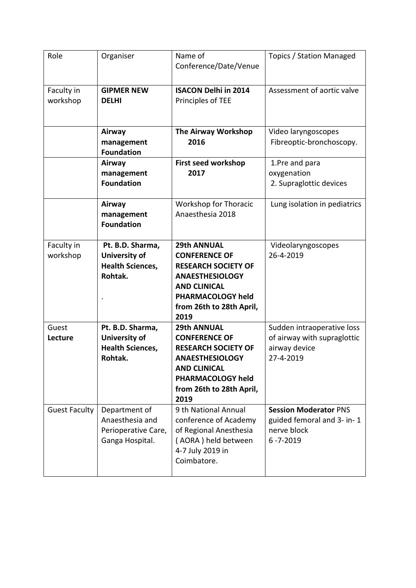| Role                   | Organiser                                                                      | Name of<br>Conference/Date/Venue                                                                                                                                                          | Topics / Station Managed                                                                    |
|------------------------|--------------------------------------------------------------------------------|-------------------------------------------------------------------------------------------------------------------------------------------------------------------------------------------|---------------------------------------------------------------------------------------------|
| Faculty in<br>workshop | <b>GIPMER NEW</b><br><b>DELHI</b>                                              | <b>ISACON Delhi in 2014</b><br>Principles of TEE                                                                                                                                          | Assessment of aortic valve                                                                  |
|                        | Airway<br>management<br><b>Foundation</b>                                      | The Airway Workshop<br>2016                                                                                                                                                               | Video laryngoscopes<br>Fibreoptic-bronchoscopy.                                             |
|                        | Airway<br>management<br><b>Foundation</b>                                      | First seed workshop<br>2017                                                                                                                                                               | 1.Pre and para<br>oxygenation<br>2. Supraglottic devices                                    |
|                        | Airway<br>management<br><b>Foundation</b>                                      | <b>Workshop for Thoracic</b><br>Anaesthesia 2018                                                                                                                                          | Lung isolation in pediatrics                                                                |
| Faculty in<br>workshop | Pt. B.D. Sharma,<br><b>University of</b><br><b>Health Sciences,</b><br>Rohtak. | <b>29th ANNUAL</b><br><b>CONFERENCE OF</b><br><b>RESEARCH SOCIETY OF</b><br><b>ANAESTHESIOLOGY</b><br><b>AND CLINICAL</b><br><b>PHARMACOLOGY held</b><br>from 26th to 28th April,<br>2019 | Videolaryngoscopes<br>26-4-2019                                                             |
| Guest<br>Lecture       | Pt. B.D. Sharma,<br><b>University of</b><br><b>Health Sciences,</b><br>Rohtak. | <b>29th ANNUAL</b><br><b>CONFERENCE OF</b><br><b>RESEARCH SOCIETY OF</b><br><b>ANAESTHESIOLOGY</b><br><b>AND CLINICAL</b><br>PHARMACOLOGY held<br>from 26th to 28th April,<br>2019        | Sudden intraoperative loss<br>of airway with supraglottic<br>airway device<br>27-4-2019     |
| <b>Guest Faculty</b>   | Department of<br>Anaesthesia and<br>Perioperative Care,<br>Ganga Hospital.     | 9 th National Annual<br>conference of Academy<br>of Regional Anesthesia<br>(AORA) held between<br>4-7 July 2019 in<br>Coimbatore.                                                         | <b>Session Moderator PNS</b><br>guided femoral and 3- in-1<br>nerve block<br>$6 - 7 - 2019$ |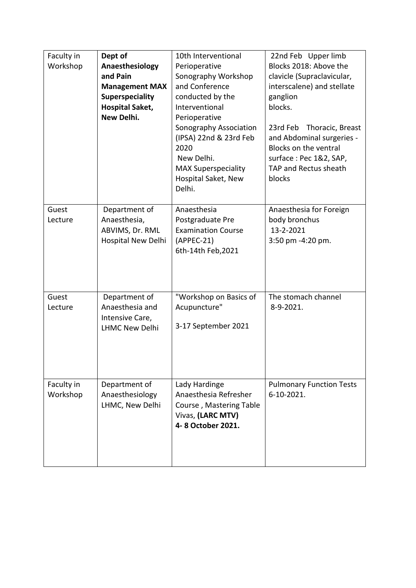| Faculty in<br>Workshop | Dept of<br>Anaesthesiology<br>and Pain<br><b>Management MAX</b><br>Superspeciality<br><b>Hospital Saket,</b><br>New Delhi. | 10th Interventional<br>Perioperative<br>Sonography Workshop<br>and Conference<br>conducted by the<br>Interventional<br>Perioperative<br>Sonography Association<br>(IPSA) 22nd & 23rd Feb<br>2020<br>New Delhi.<br><b>MAX Superspeciality</b><br>Hospital Saket, New<br>Delhi. | 22nd Feb Upper limb<br>Blocks 2018: Above the<br>clavicle (Supraclavicular,<br>interscalene) and stellate<br>ganglion<br>blocks.<br>23rd Feb Thoracic, Breast<br>and Abdominal surgeries -<br>Blocks on the ventral<br>surface: Pec 1&2, SAP,<br>TAP and Rectus sheath<br>blocks |
|------------------------|----------------------------------------------------------------------------------------------------------------------------|-------------------------------------------------------------------------------------------------------------------------------------------------------------------------------------------------------------------------------------------------------------------------------|----------------------------------------------------------------------------------------------------------------------------------------------------------------------------------------------------------------------------------------------------------------------------------|
| Guest<br>Lecture       | Department of<br>Anaesthesia,<br>ABVIMS, Dr. RML<br>Hospital New Delhi                                                     | Anaesthesia<br>Postgraduate Pre<br><b>Examination Course</b><br>$(APPEC-21)$<br>6th-14th Feb, 2021                                                                                                                                                                            | Anaesthesia for Foreign<br>body bronchus<br>13-2-2021<br>3:50 pm -4:20 pm.                                                                                                                                                                                                       |
| Guest<br>Lecture       | Department of<br>Anaesthesia and<br>Intensive Care,<br><b>LHMC New Delhi</b>                                               | "Workshop on Basics of<br>Acupuncture"<br>3-17 September 2021                                                                                                                                                                                                                 | The stomach channel<br>8-9-2021.                                                                                                                                                                                                                                                 |
| Faculty in<br>Workshop | Department of<br>Anaesthesiology<br>LHMC, New Delhi                                                                        | Lady Hardinge<br>Anaesthesia Refresher<br>Course, Mastering Table<br>Vivas, (LARC MTV)<br>4-8 October 2021.                                                                                                                                                                   | <b>Pulmonary Function Tests</b><br>6-10-2021.                                                                                                                                                                                                                                    |